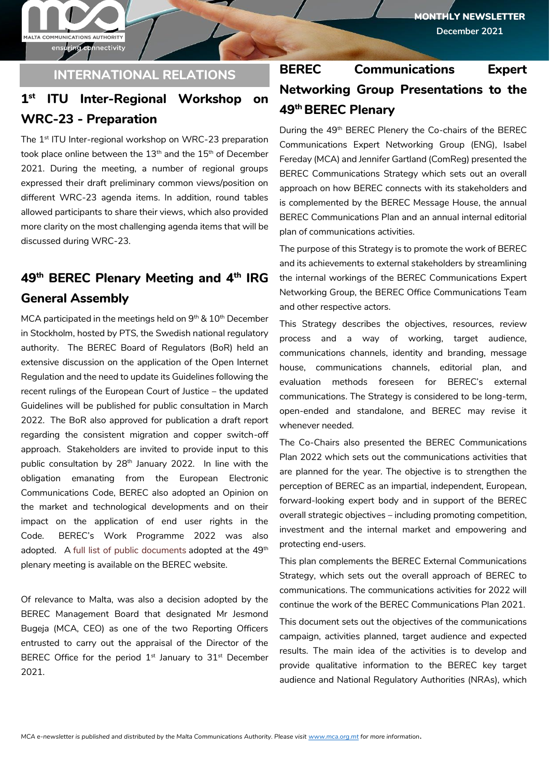ensuring connectivity

MALTA COMMUNICATIONS AUTHORITY

### **INTERNATIONAL RELATIONS**

#### **1 st ITU Inter-Regional Workshop on WRC-23 - Preparation**

The 1<sup>st</sup> ITU Inter-regional workshop on WRC-23 preparation took place online between the  $13<sup>th</sup>$  and the  $15<sup>th</sup>$  of December 2021. During the meeting, a number of regional groups expressed their draft preliminary common views/position on different WRC-23 agenda items. In addition, round tables allowed participants to share their views, which also provided more clarity on the most challenging agenda items that will be discussed during WRC-23.

# **49th BEREC Plenary Meeting and 4th IRG General Assembly**

MCA participated in the meetings held on  $9<sup>th</sup>$  &  $10<sup>th</sup>$  December in Stockholm, hosted by PTS, the Swedish national regulatory authority. The BEREC Board of Regulators (BoR) held an extensive discussion on the application of the Open Internet Regulation and the need to update its Guidelines following the recent rulings of the European Court of Justice – the updated Guidelines will be published for public consultation in March 2022. The BoR also approved for publication a draft report regarding the consistent migration and copper switch-off approach. Stakeholders are invited to provide input to this public consultation by 28<sup>th</sup> January 2022. In line with the obligation emanating from the European Electronic Communications Code, BEREC also adopted an Opinion on the market and technological developments and on their impact on the application of end user rights in the Code. BEREC's Work Programme 2022 was also adopted. A [full list of public documents](https://berec.europa.eu/files/document_register_store/2021/12/List_BoR%20public%20documents_P4_2021.pdf) adopted at the 49<sup>th</sup> plenary meeting is available on the BEREC website.

Of relevance to Malta, was also a decision adopted by the BEREC Management Board that designated Mr Jesmond Bugeja (MCA, CEO) as one of the two Reporting Officers entrusted to carry out the appraisal of the Director of the BEREC Office for the period  $1<sup>st</sup>$  January to  $31<sup>st</sup>$  December 2021.

# **BEREC Communications Expert Networking Group Presentations to the 49th BEREC Plenary**

During the 49<sup>th</sup> BEREC Plenery the Co-chairs of the BEREC Communications Expert Networking Group (ENG), Isabel Fereday (MCA) and Jennifer Gartland (ComReg) presented the BEREC Communications Strategy which sets out an overall approach on how BEREC connects with its stakeholders and is complemented by the BEREC Message House, the annual BEREC Communications Plan and an annual internal editorial plan of communications activities.

The purpose of this Strategy is to promote the work of BEREC and its achievements to external stakeholders by streamlining the internal workings of the BEREC Communications Expert Networking Group, the BEREC Office Communications Team and other respective actors.

This Strategy describes the objectives, resources, review process and a way of working, target audience, communications channels, identity and branding, message house, communications channels, editorial plan, and evaluation methods foreseen for BEREC's external communications. The Strategy is considered to be long-term, open-ended and standalone, and BEREC may revise it whenever needed.

The Co-Chairs also presented the BEREC Communications Plan 2022 which sets out the communications activities that are planned for the year. The objective is to strengthen the perception of BEREC as an impartial, independent, European, forward-looking expert body and in support of the BEREC overall strategic objectives – including promoting competition, investment and the internal market and empowering and protecting end-users.

This plan complements the BEREC External Communications Strategy, which sets out the overall approach of BEREC to communications. The communications activities for 2022 will continue the work of the BEREC Communications Plan 2021.

This document sets out the objectives of the communications campaign, activities planned, target audience and expected results. The main idea of the activities is to develop and provide qualitative information to the BEREC key target audience and National Regulatory Authorities (NRAs), which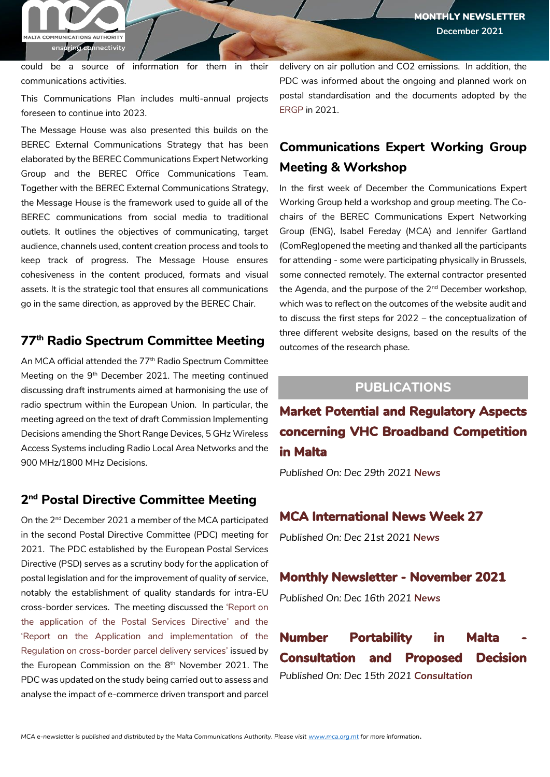MONTHLY NEWSLETTER **December 2021**

MALTA COMMUNICATIONS AUTHORITY ensuring connectivity

could be a source of information for them in their communications activities.

This Communications Plan includes multi-annual projects foreseen to continue into 2023.

The Message House was also presented this builds on the BEREC External Communications Strategy that has been elaborated by the BEREC Communications Expert Networking Group and the BEREC Office Communications Team. Together with the BEREC External Communications Strategy, the Message House is the framework used to guide all of the BEREC communications from social media to traditional outlets. It outlines the objectives of communicating, target audience, channels used, content creation process and tools to keep track of progress. The Message House ensures cohesiveness in the content produced, formats and visual assets. It is the strategic tool that ensures all communications go in the same direction, as approved by the BEREC Chair.

# **77th Radio Spectrum Committee Meeting**

An MCA official attended the 77<sup>th</sup> Radio Spectrum Committee Meeting on the 9<sup>th</sup> December 2021. The meeting continued discussing draft instruments aimed at harmonising the use of radio spectrum within the European Union. In particular, the meeting agreed on the text of draft Commission Implementing Decisions amending the Short Range Devices, 5 GHz Wireless Access Systems including Radio Local Area Networks and the 900 MHz/1800 MHz Decisions.

### **2 nd Postal Directive Committee Meeting**

On the 2nd December 2021 a member of the MCA participated in the second Postal Directive Committee (PDC) meeting for 2021. The PDC established by the European Postal Services Directive (PSD) serves as a scrutiny body for the application of postal legislation and for the improvement of quality of service, notably the establishment of quality standards for intra-EU cross-border services. The meeting discussed the '[Report on](https://ec.europa.eu/growth/system/files/2021-11/Report%20on%20the%20application%20of%20the%20Postal%20Services%20Directive.pdf)  [the application of the Postal Services Directive](https://ec.europa.eu/growth/system/files/2021-11/Report%20on%20the%20application%20of%20the%20Postal%20Services%20Directive.pdf)' and the '[Report on the Application and implementation of the](https://ec.europa.eu/growth/system/files/2021-11/Report%20on%20the%20application%20and%20implementation%20of%20the%20Regulation%20on%20cross-border%20parcel%20delivery%20services_0.pdf)  [Regulation on cross-border parcel delivery services](https://ec.europa.eu/growth/system/files/2021-11/Report%20on%20the%20application%20and%20implementation%20of%20the%20Regulation%20on%20cross-border%20parcel%20delivery%20services_0.pdf)' issued by the European Commission on the 8<sup>th</sup> November 2021. The PDC was updated on the study being carried out to assess and analyse the impact of e-commerce driven transport and parcel

delivery on air pollution and CO2 emissions. In addition, the PDC was informed about the ongoing and planned work on postal standardisation and the documents adopted by the [ERGP](https://ec.europa.eu/growth/sectors/postal-services/european-regulators-group-postal-services_en) in 2021.

# **Communications Expert Working Group Meeting & Workshop**

In the first week of December the Communications Expert Working Group held a workshop and group meeting. The Cochairs of the BEREC Communications Expert Networking Group (ENG), Isabel Fereday (MCA) and Jennifer Gartland (ComReg)opened the meeting and thanked all the participants for attending - some were participating physically in Brussels, some connected remotely. The external contractor presented the Agenda, and the purpose of the 2<sup>nd</sup> December workshop, which was to reflect on the outcomes of the website audit and to discuss the first steps for 2022 – the conceptualization of three different website designs, based on the results of the outcomes of the research phase.

# **PUBLICATIONS**

**[Market Potential and Regulatory Aspects](https://www.mca.org.mt/articles/market-potential-and-regulatory-aspects-concerning-vhc-broadband-competition-malta)  [concerning VHC Broadband Competition](https://www.mca.org.mt/articles/market-potential-and-regulatory-aspects-concerning-vhc-broadband-competition-malta)  [in Malta](https://www.mca.org.mt/articles/market-potential-and-regulatory-aspects-concerning-vhc-broadband-competition-malta)**

*Published On: Dec 29th 2021 [News](https://www.mca.org.mt/publications?term_node_tid_depth=642)*

#### **[MCA International News Week 27](https://www.mca.org.mt/articles/mca-international-news-week-27-2)**

*Published On: Dec 21st 2021 [News](https://www.mca.org.mt/publications?term_node_tid_depth=642)*

#### **[Monthly Newsletter - November 2021](https://www.mca.org.mt/articles/monthly-newsletter-november-2021)**

*Published On: Dec 16th 2021 [News](https://www.mca.org.mt/publications?term_node_tid_depth=642)*

**Number Portability in Malta [Consultation and Proposed Decision](https://www.mca.org.mt/consultations-decisions/number-portability-malta-consultation-and-proposed-decision)**  *Published On: Dec 15th 2021 [Consultation](https://www.mca.org.mt/publications?term_node_tid_depth=584)*

*MCA e-newsletter is published and distributed by the Malta Communications Authority. Please visit [www.mca.org.mt](http://www.mca.org.mt/) for more information.*